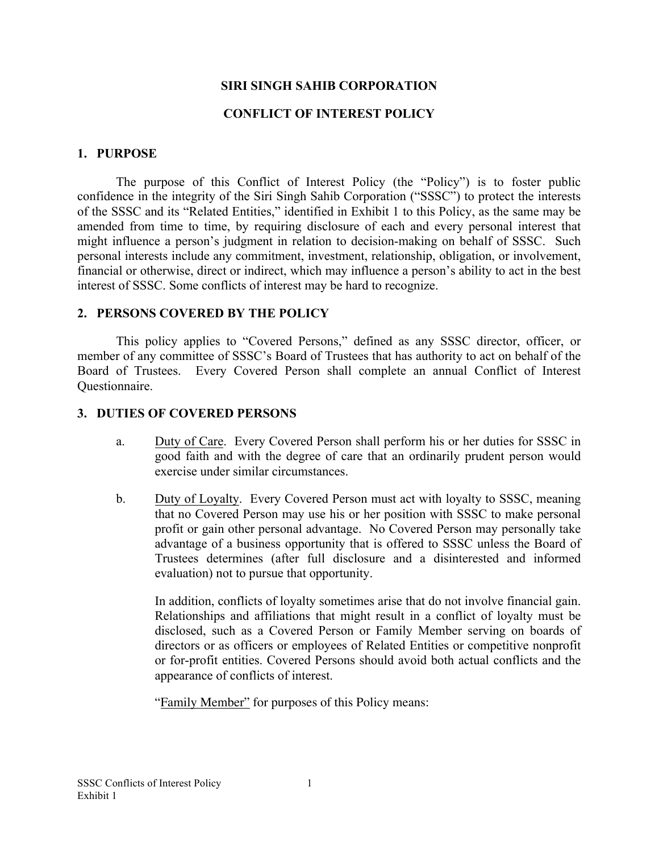## **SIRI SINGH SAHIB CORPORATION**

#### **CONFLICT OF INTEREST POLICY**

#### **1. PURPOSE**

The purpose of this Conflict of Interest Policy (the "Policy") is to foster public confidence in the integrity of the Siri Singh Sahib Corporation ("SSSC") to protect the interests of the SSSC and its "Related Entities," identified in Exhibit 1 to this Policy, as the same may be amended from time to time, by requiring disclosure of each and every personal interest that might influence a person's judgment in relation to decision-making on behalf of SSSC. Such personal interests include any commitment, investment, relationship, obligation, or involvement, financial or otherwise, direct or indirect, which may influence a person's ability to act in the best interest of SSSC. Some conflicts of interest may be hard to recognize.

### **2. PERSONS COVERED BY THE POLICY**

This policy applies to "Covered Persons," defined as any SSSC director, officer, or member of any committee of SSSC's Board of Trustees that has authority to act on behalf of the Board of Trustees. Every Covered Person shall complete an annual Conflict of Interest Questionnaire.

#### **3. DUTIES OF COVERED PERSONS**

- a. Duty of Care. Every Covered Person shall perform his or her duties for SSSC in good faith and with the degree of care that an ordinarily prudent person would exercise under similar circumstances.
- b. Duty of Loyalty. Every Covered Person must act with loyalty to SSSC, meaning that no Covered Person may use his or her position with SSSC to make personal profit or gain other personal advantage. No Covered Person may personally take advantage of a business opportunity that is offered to SSSC unless the Board of Trustees determines (after full disclosure and a disinterested and informed evaluation) not to pursue that opportunity.

In addition, conflicts of loyalty sometimes arise that do not involve financial gain. Relationships and affiliations that might result in a conflict of loyalty must be disclosed, such as a Covered Person or Family Member serving on boards of directors or as officers or employees of Related Entities or competitive nonprofit or for-profit entities. Covered Persons should avoid both actual conflicts and the appearance of conflicts of interest.

"Family Member" for purposes of this Policy means: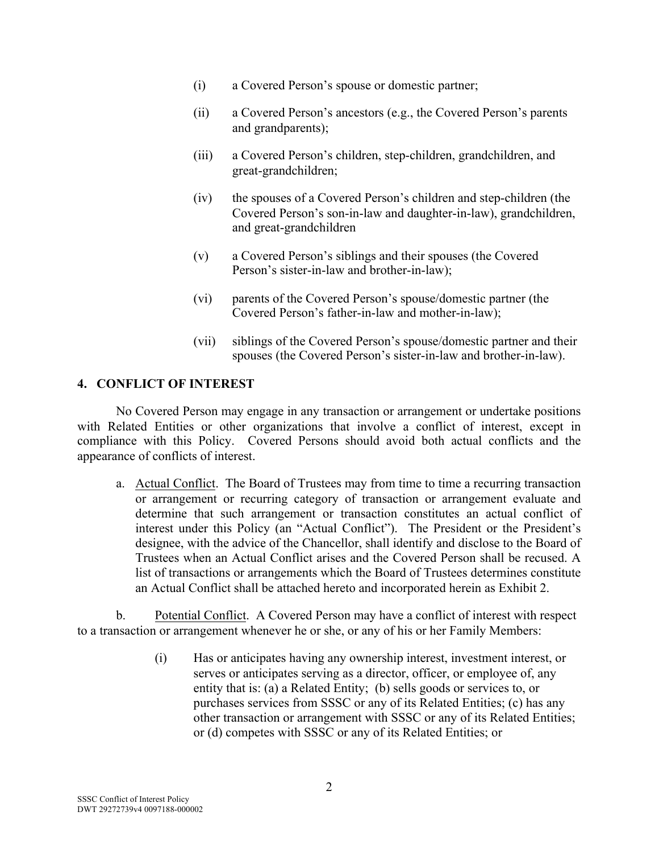- (i) a Covered Person's spouse or domestic partner;
- (ii) a Covered Person's ancestors (e.g., the Covered Person's parents and grandparents);
- (iii) a Covered Person's children, step-children, grandchildren, and great-grandchildren;
- (iv) the spouses of a Covered Person's children and step-children (the Covered Person's son-in-law and daughter-in-law), grandchildren, and great-grandchildren
- (v) a Covered Person's siblings and their spouses (the Covered Person's sister-in-law and brother-in-law);
- (vi) parents of the Covered Person's spouse/domestic partner (the Covered Person's father-in-law and mother-in-law);
- (vii) siblings of the Covered Person's spouse/domestic partner and their spouses (the Covered Person's sister-in-law and brother-in-law).

# **4. CONFLICT OF INTEREST**

No Covered Person may engage in any transaction or arrangement or undertake positions with Related Entities or other organizations that involve a conflict of interest, except in compliance with this Policy. Covered Persons should avoid both actual conflicts and the appearance of conflicts of interest.

a. Actual Conflict. The Board of Trustees may from time to time a recurring transaction or arrangement or recurring category of transaction or arrangement evaluate and determine that such arrangement or transaction constitutes an actual conflict of interest under this Policy (an "Actual Conflict"). The President or the President's designee, with the advice of the Chancellor, shall identify and disclose to the Board of Trustees when an Actual Conflict arises and the Covered Person shall be recused. A list of transactions or arrangements which the Board of Trustees determines constitute an Actual Conflict shall be attached hereto and incorporated herein as Exhibit 2.

b. Potential Conflict. A Covered Person may have a conflict of interest with respect to a transaction or arrangement whenever he or she, or any of his or her Family Members:

> (i) Has or anticipates having any ownership interest, investment interest, or serves or anticipates serving as a director, officer, or employee of, any entity that is: (a) a Related Entity; (b) sells goods or services to, or purchases services from SSSC or any of its Related Entities; (c) has any other transaction or arrangement with SSSC or any of its Related Entities; or (d) competes with SSSC or any of its Related Entities; or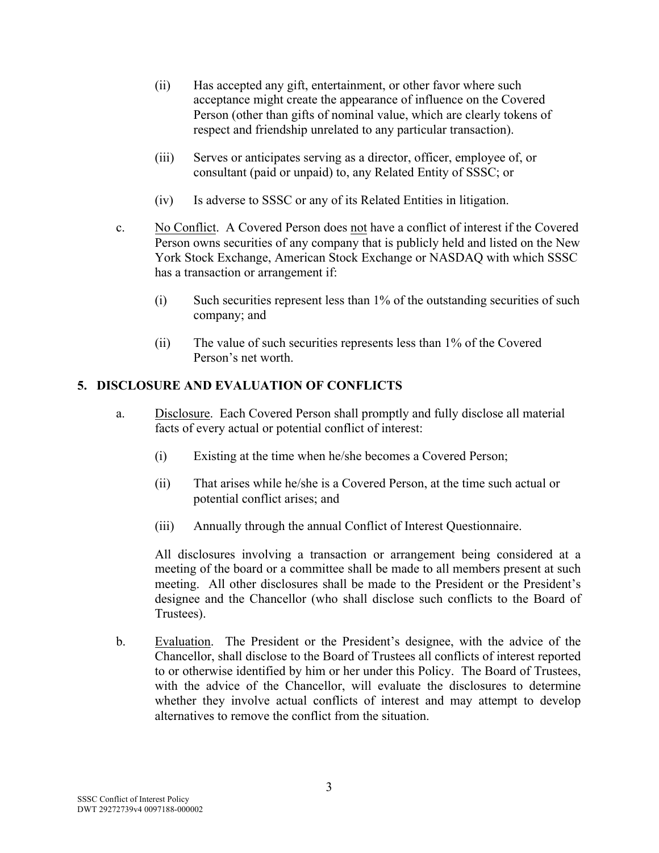- (ii) Has accepted any gift, entertainment, or other favor where such acceptance might create the appearance of influence on the Covered Person (other than gifts of nominal value, which are clearly tokens of respect and friendship unrelated to any particular transaction).
- (iii) Serves or anticipates serving as a director, officer, employee of, or consultant (paid or unpaid) to, any Related Entity of SSSC; or
- (iv) Is adverse to SSSC or any of its Related Entities in litigation.
- c. No Conflict. A Covered Person does not have a conflict of interest if the Covered Person owns securities of any company that is publicly held and listed on the New York Stock Exchange, American Stock Exchange or NASDAQ with which SSSC has a transaction or arrangement if:
	- (i) Such securities represent less than 1% of the outstanding securities of such company; and
	- (ii) The value of such securities represents less than 1% of the Covered Person's net worth.

# **5. DISCLOSURE AND EVALUATION OF CONFLICTS**

- a. Disclosure. Each Covered Person shall promptly and fully disclose all material facts of every actual or potential conflict of interest:
	- (i) Existing at the time when he/she becomes a Covered Person;
	- (ii) That arises while he/she is a Covered Person, at the time such actual or potential conflict arises; and
	- (iii) Annually through the annual Conflict of Interest Questionnaire.

All disclosures involving a transaction or arrangement being considered at a meeting of the board or a committee shall be made to all members present at such meeting. All other disclosures shall be made to the President or the President's designee and the Chancellor (who shall disclose such conflicts to the Board of Trustees).

b. Evaluation. The President or the President's designee, with the advice of the Chancellor, shall disclose to the Board of Trustees all conflicts of interest reported to or otherwise identified by him or her under this Policy. The Board of Trustees, with the advice of the Chancellor, will evaluate the disclosures to determine whether they involve actual conflicts of interest and may attempt to develop alternatives to remove the conflict from the situation.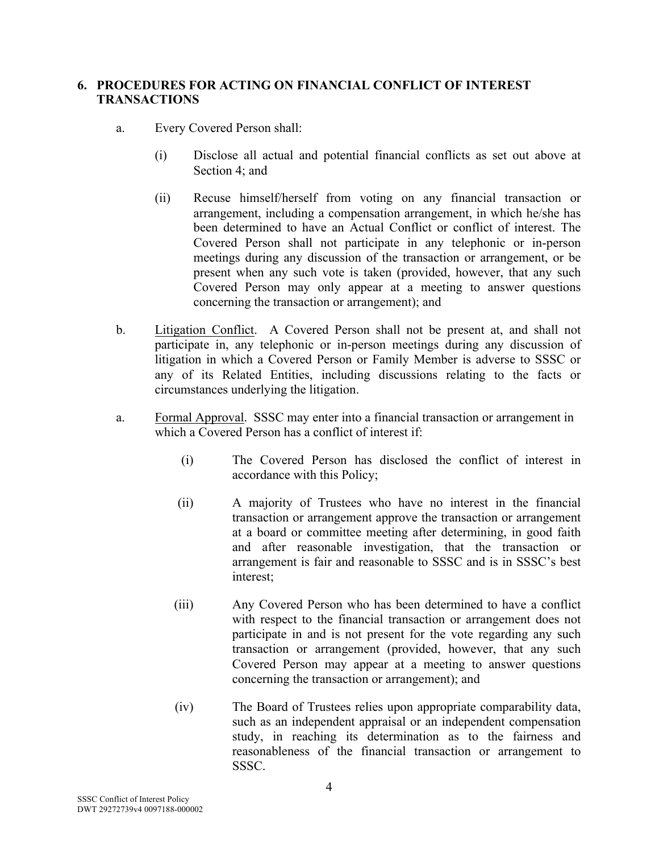# **6. PROCEDURES FOR ACTING ON FINANCIAL CONFLICT OF INTEREST TRANSACTIONS**

- a. Every Covered Person shall:
	- (i) Disclose all actual and potential financial conflicts as set out above at Section 4; and
	- (ii) Recuse himself/herself from voting on any financial transaction or arrangement, including a compensation arrangement, in which he/she has been determined to have an Actual Conflict or conflict of interest. The Covered Person shall not participate in any telephonic or in-person meetings during any discussion of the transaction or arrangement, or be present when any such vote is taken (provided, however, that any such Covered Person may only appear at a meeting to answer questions concerning the transaction or arrangement); and
- b. Litigation Conflict. A Covered Person shall not be present at, and shall not participate in, any telephonic or in-person meetings during any discussion of litigation in which a Covered Person or Family Member is adverse to SSSC or any of its Related Entities, including discussions relating to the facts or circumstances underlying the litigation.
- a. Formal Approval. SSSC may enter into a financial transaction or arrangement in which a Covered Person has a conflict of interest if
	- (i) The Covered Person has disclosed the conflict of interest in accordance with this Policy;
	- (ii) A majority of Trustees who have no interest in the financial transaction or arrangement approve the transaction or arrangement at a board or committee meeting after determining, in good faith and after reasonable investigation, that the transaction or arrangement is fair and reasonable to SSSC and is in SSSC's best interest;
	- (iii) Any Covered Person who has been determined to have a conflict with respect to the financial transaction or arrangement does not participate in and is not present for the vote regarding any such transaction or arrangement (provided, however, that any such Covered Person may appear at a meeting to answer questions concerning the transaction or arrangement); and
	- (iv) The Board of Trustees relies upon appropriate comparability data, such as an independent appraisal or an independent compensation study, in reaching its determination as to the fairness and reasonableness of the financial transaction or arrangement to SSSC.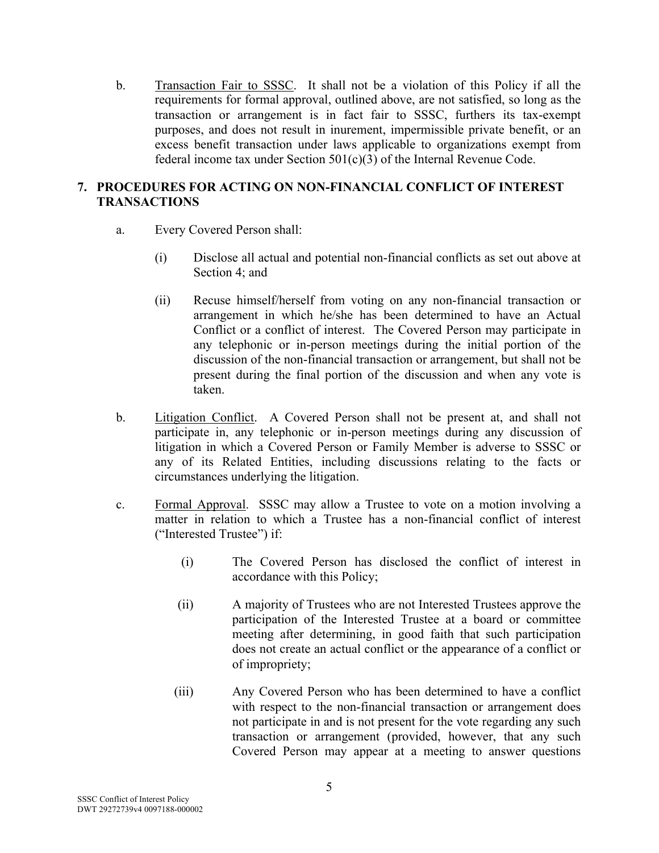b. Transaction Fair to SSSC. It shall not be a violation of this Policy if all the requirements for formal approval, outlined above, are not satisfied, so long as the transaction or arrangement is in fact fair to SSSC, furthers its tax-exempt purposes, and does not result in inurement, impermissible private benefit, or an excess benefit transaction under laws applicable to organizations exempt from federal income tax under Section 501(c)(3) of the Internal Revenue Code.

# **7. PROCEDURES FOR ACTING ON NON-FINANCIAL CONFLICT OF INTEREST TRANSACTIONS**

- a. Every Covered Person shall:
	- (i) Disclose all actual and potential non-financial conflicts as set out above at Section 4; and
	- (ii) Recuse himself/herself from voting on any non-financial transaction or arrangement in which he/she has been determined to have an Actual Conflict or a conflict of interest. The Covered Person may participate in any telephonic or in-person meetings during the initial portion of the discussion of the non-financial transaction or arrangement, but shall not be present during the final portion of the discussion and when any vote is taken.
- b. Litigation Conflict. A Covered Person shall not be present at, and shall not participate in, any telephonic or in-person meetings during any discussion of litigation in which a Covered Person or Family Member is adverse to SSSC or any of its Related Entities, including discussions relating to the facts or circumstances underlying the litigation.
- c. Formal Approval. SSSC may allow a Trustee to vote on a motion involving a matter in relation to which a Trustee has a non-financial conflict of interest ("Interested Trustee") if:
	- (i) The Covered Person has disclosed the conflict of interest in accordance with this Policy;
	- (ii) A majority of Trustees who are not Interested Trustees approve the participation of the Interested Trustee at a board or committee meeting after determining, in good faith that such participation does not create an actual conflict or the appearance of a conflict or of impropriety;
	- (iii) Any Covered Person who has been determined to have a conflict with respect to the non-financial transaction or arrangement does not participate in and is not present for the vote regarding any such transaction or arrangement (provided, however, that any such Covered Person may appear at a meeting to answer questions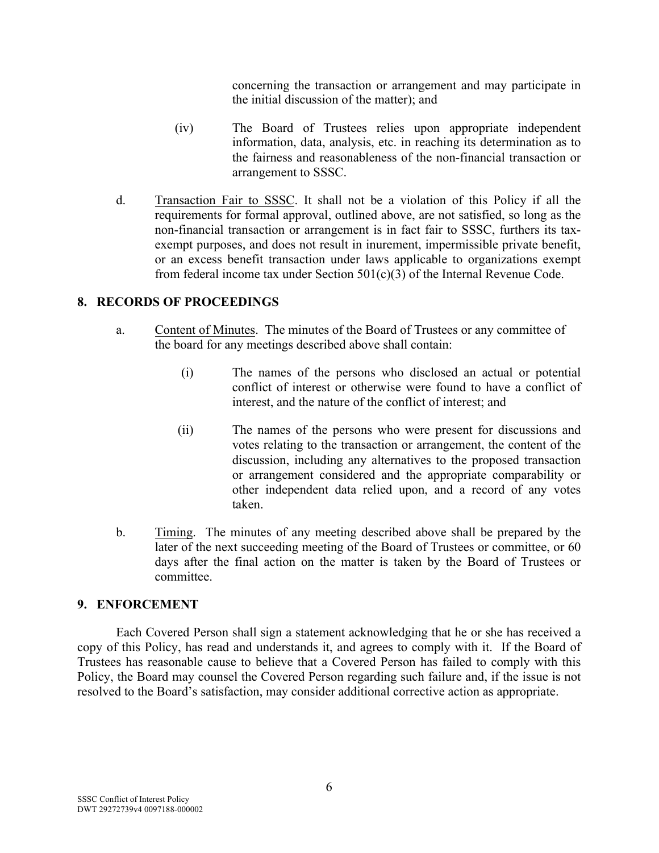concerning the transaction or arrangement and may participate in the initial discussion of the matter); and

- (iv) The Board of Trustees relies upon appropriate independent information, data, analysis, etc. in reaching its determination as to the fairness and reasonableness of the non-financial transaction or arrangement to SSSC.
- d. Transaction Fair to SSSC. It shall not be a violation of this Policy if all the requirements for formal approval, outlined above, are not satisfied, so long as the non-financial transaction or arrangement is in fact fair to SSSC, furthers its taxexempt purposes, and does not result in inurement, impermissible private benefit, or an excess benefit transaction under laws applicable to organizations exempt from federal income tax under Section 501(c)(3) of the Internal Revenue Code.

### **8. RECORDS OF PROCEEDINGS**

- a. Content of Minutes. The minutes of the Board of Trustees or any committee of the board for any meetings described above shall contain:
	- (i) The names of the persons who disclosed an actual or potential conflict of interest or otherwise were found to have a conflict of interest, and the nature of the conflict of interest; and
	- (ii) The names of the persons who were present for discussions and votes relating to the transaction or arrangement, the content of the discussion, including any alternatives to the proposed transaction or arrangement considered and the appropriate comparability or other independent data relied upon, and a record of any votes taken.
- b. Timing. The minutes of any meeting described above shall be prepared by the later of the next succeeding meeting of the Board of Trustees or committee, or 60 days after the final action on the matter is taken by the Board of Trustees or committee.

#### **9. ENFORCEMENT**

Each Covered Person shall sign a statement acknowledging that he or she has received a copy of this Policy, has read and understands it, and agrees to comply with it. If the Board of Trustees has reasonable cause to believe that a Covered Person has failed to comply with this Policy, the Board may counsel the Covered Person regarding such failure and, if the issue is not resolved to the Board's satisfaction, may consider additional corrective action as appropriate.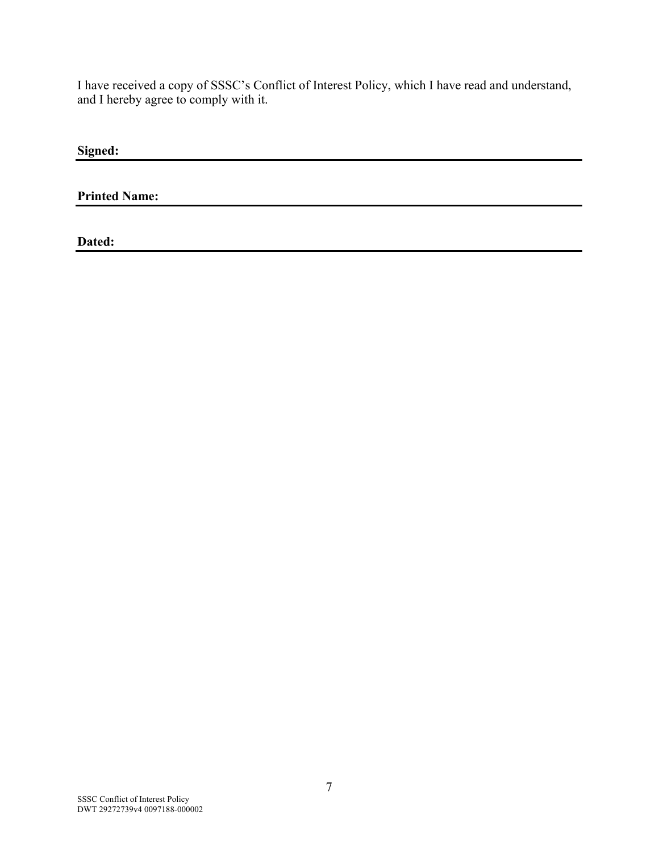I have received a copy of SSSC's Conflict of Interest Policy, which I have read and understand, and I hereby agree to comply with it.

**Signed:**

**Printed Name:**

**Dated:**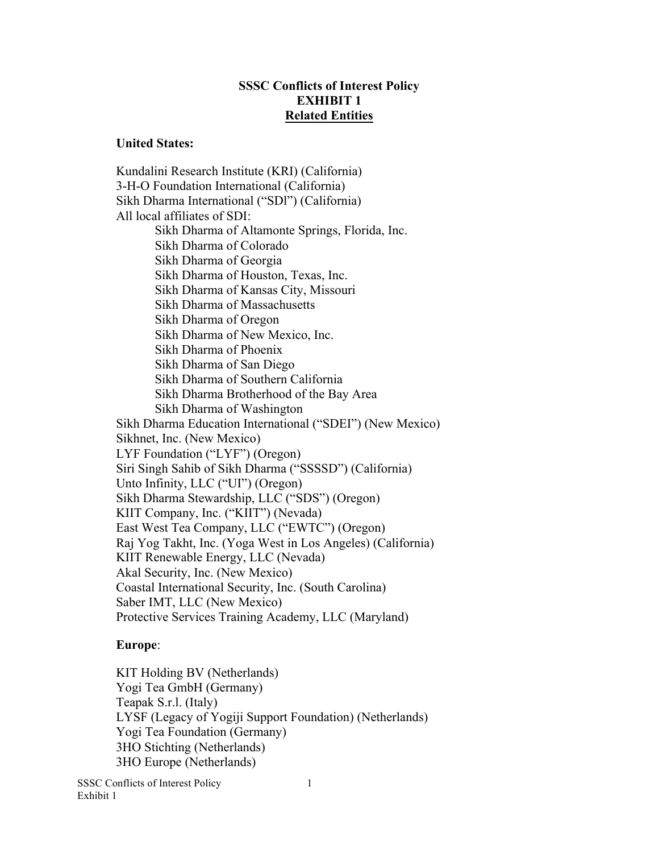### **SSSC Conflicts of Interest Policy EXHIBIT 1 Related Entities**

#### **United States:**

Kundalini Research Institute (KRI) (California) 3-H-O Foundation International (California) Sikh Dharma International ("SDl") (California) All local affiliates of SDI: Sikh Dharma of Altamonte Springs, Florida, Inc. Sikh Dharma of Colorado Sikh Dharma of Georgia Sikh Dharma of Houston, Texas, Inc. Sikh Dharma of Kansas City, Missouri Sikh Dharma of Massachusetts Sikh Dharma of Oregon Sikh Dharma of New Mexico, Inc. Sikh Dharma of Phoenix Sikh Dharma of San Diego Sikh Dharma of Southern California Sikh Dharma Brotherhood of the Bay Area Sikh Dharma of Washington Sikh Dharma Education International ("SDEI") (New Mexico) Sikhnet, Inc. (New Mexico) LYF Foundation ("LYF") (Oregon) Siri Singh Sahib of Sikh Dharma ("SSSSD") (California) Unto Infinity, LLC ("UI") (Oregon) Sikh Dharma Stewardship, LLC ("SDS") (Oregon) KIIT Company, Inc. ("KIIT") (Nevada) East West Tea Company, LLC ("EWTC") (Oregon) Raj Yog Takht, Inc. (Yoga West in Los Angeles) (California) KIIT Renewable Energy, LLC (Nevada) Akal Security, Inc. (New Mexico) Coastal International Security, Inc. (South Carolina) Saber IMT, LLC (New Mexico) Protective Services Training Academy, LLC (Maryland)

#### **Europe**:

KIT Holding BV (Netherlands) Yogi Tea GmbH (Germany) Teapak S.r.l. (Italy) LYSF (Legacy of Yogiji Support Foundation) (Netherlands) Yogi Tea Foundation (Germany) 3HO Stichting (Netherlands) 3HO Europe (Netherlands)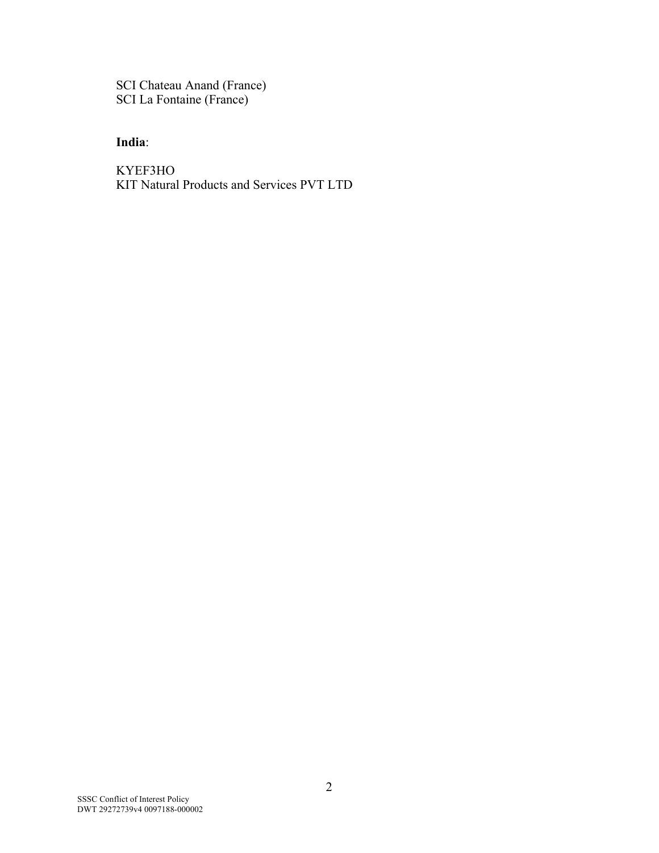SCI Chateau Anand (France) SCI La Fontaine (France)

# **India**:

KYEF3HO KIT Natural Products and Services PVT LTD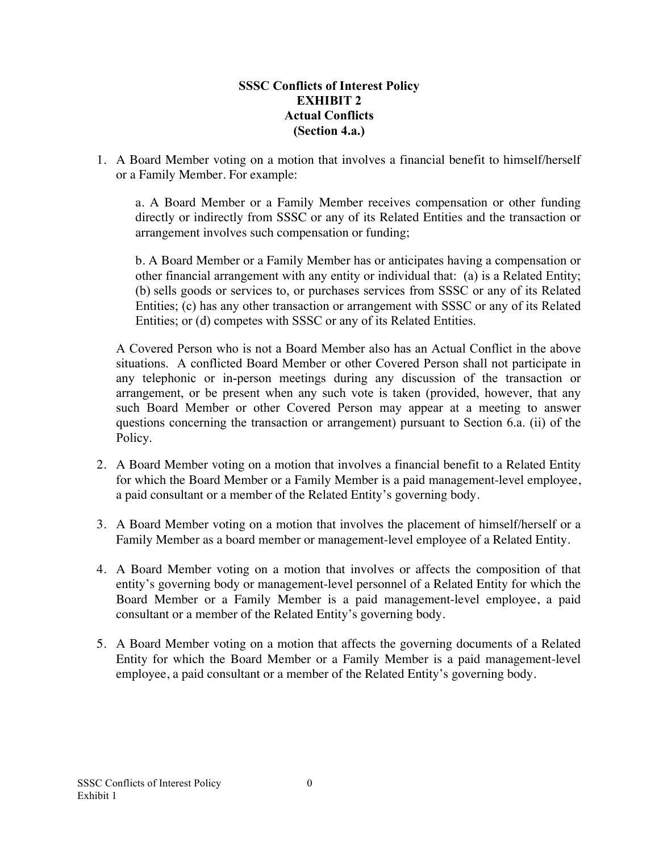## **SSSC Conflicts of Interest Policy EXHIBIT 2 Actual Conflicts (Section 4.a.)**

1. A Board Member voting on a motion that involves a financial benefit to himself/herself or a Family Member. For example:

a. A Board Member or a Family Member receives compensation or other funding directly or indirectly from SSSC or any of its Related Entities and the transaction or arrangement involves such compensation or funding;

b. A Board Member or a Family Member has or anticipates having a compensation or other financial arrangement with any entity or individual that: (a) is a Related Entity; (b) sells goods or services to, or purchases services from SSSC or any of its Related Entities; (c) has any other transaction or arrangement with SSSC or any of its Related Entities; or (d) competes with SSSC or any of its Related Entities.

A Covered Person who is not a Board Member also has an Actual Conflict in the above situations. A conflicted Board Member or other Covered Person shall not participate in any telephonic or in-person meetings during any discussion of the transaction or arrangement, or be present when any such vote is taken (provided, however, that any such Board Member or other Covered Person may appear at a meeting to answer questions concerning the transaction or arrangement) pursuant to Section 6.a. (ii) of the Policy.

- 2. A Board Member voting on a motion that involves a financial benefit to a Related Entity for which the Board Member or a Family Member is a paid management-level employee, a paid consultant or a member of the Related Entity's governing body.
- 3. A Board Member voting on a motion that involves the placement of himself/herself or a Family Member as a board member or management-level employee of a Related Entity.
- 4. A Board Member voting on a motion that involves or affects the composition of that entity's governing body or management-level personnel of a Related Entity for which the Board Member or a Family Member is a paid management-level employee, a paid consultant or a member of the Related Entity's governing body.
- 5. A Board Member voting on a motion that affects the governing documents of a Related Entity for which the Board Member or a Family Member is a paid management-level employee, a paid consultant or a member of the Related Entity's governing body.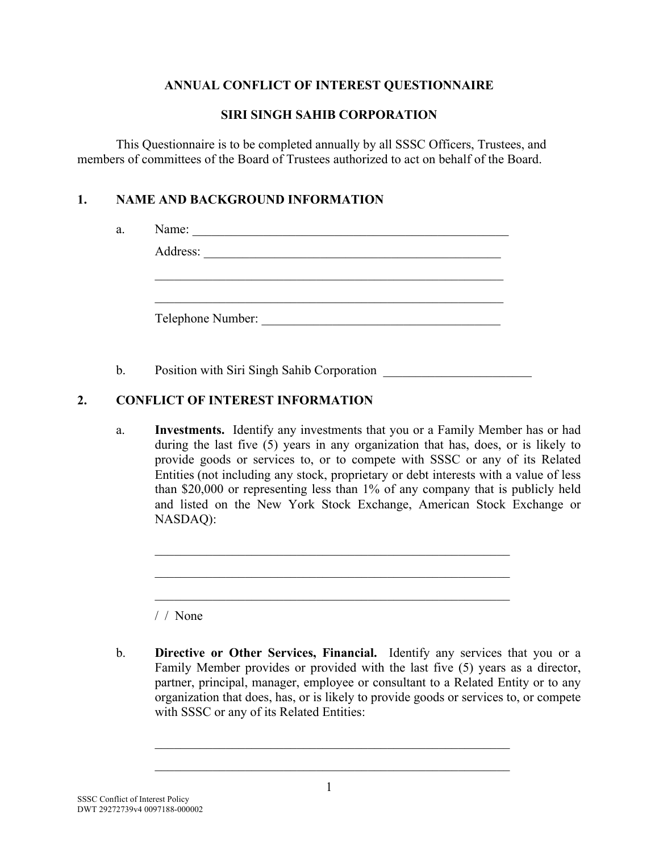## **ANNUAL CONFLICT OF INTEREST QUESTIONNAIRE**

#### **SIRI SINGH SAHIB CORPORATION**

This Questionnaire is to be completed annually by all SSSC Officers, Trustees, and members of committees of the Board of Trustees authorized to act on behalf of the Board.

## **1. NAME AND BACKGROUND INFORMATION**

| Address:          |  |  |
|-------------------|--|--|
|                   |  |  |
|                   |  |  |
|                   |  |  |
|                   |  |  |
| Telephone Number: |  |  |

b. Position with Siri Singh Sahib Corporation

# **2. CONFLICT OF INTEREST INFORMATION**

a. **Investments.** Identify any investments that you or a Family Member has or had during the last five (5) years in any organization that has, does, or is likely to provide goods or services to, or to compete with SSSC or any of its Related Entities (not including any stock, proprietary or debt interests with a value of less than \$20,000 or representing less than 1% of any company that is publicly held and listed on the New York Stock Exchange, American Stock Exchange or NASDAQ):

 $\mathcal{L}_\text{max}$  and  $\mathcal{L}_\text{max}$  and  $\mathcal{L}_\text{max}$  and  $\mathcal{L}_\text{max}$  and  $\mathcal{L}_\text{max}$  and  $\mathcal{L}_\text{max}$ 

 $\mathcal{L}_\text{max}$  and  $\mathcal{L}_\text{max}$  and  $\mathcal{L}_\text{max}$  and  $\mathcal{L}_\text{max}$  and  $\mathcal{L}_\text{max}$  and  $\mathcal{L}_\text{max}$ 

 $\mathcal{L}_\text{max}$  and  $\mathcal{L}_\text{max}$  and  $\mathcal{L}_\text{max}$  and  $\mathcal{L}_\text{max}$  and  $\mathcal{L}_\text{max}$  and  $\mathcal{L}_\text{max}$ 

/ / None

b. **Directive or Other Services, Financial.** Identify any services that you or a Family Member provides or provided with the last five (5) years as a director, partner, principal, manager, employee or consultant to a Related Entity or to any organization that does, has, or is likely to provide goods or services to, or compete with SSSC or any of its Related Entities:

 $\mathcal{L}_\text{max}$  and  $\mathcal{L}_\text{max}$  and  $\mathcal{L}_\text{max}$  and  $\mathcal{L}_\text{max}$  and  $\mathcal{L}_\text{max}$  and  $\mathcal{L}_\text{max}$ 

 $\mathcal{L}_\text{max}$  and  $\mathcal{L}_\text{max}$  and  $\mathcal{L}_\text{max}$  and  $\mathcal{L}_\text{max}$  and  $\mathcal{L}_\text{max}$  and  $\mathcal{L}_\text{max}$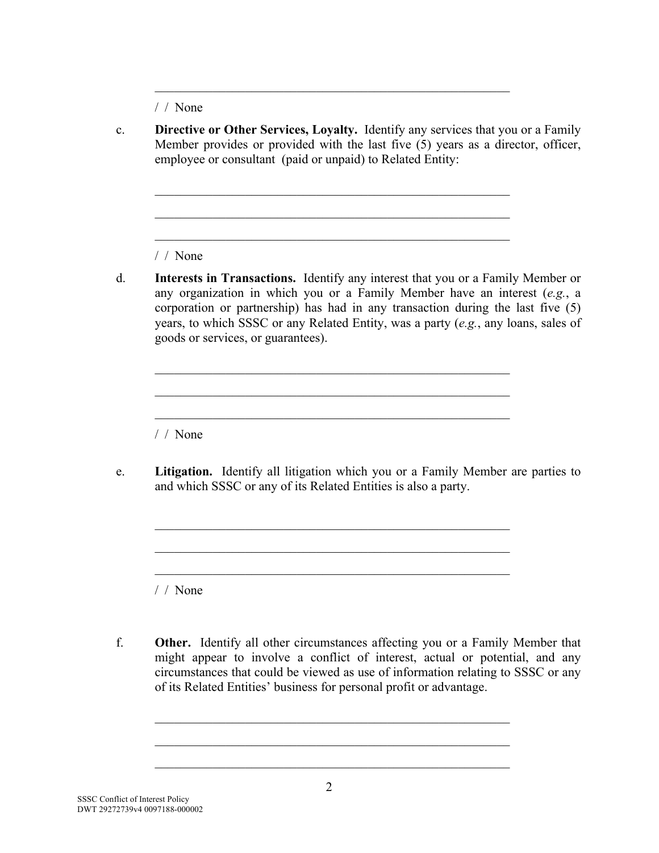/ / None

c. **Directive or Other Services, Loyalty.** Identify any services that you or a Family Member provides or provided with the last five (5) years as a director, officer, employee or consultant (paid or unpaid) to Related Entity:

 $\mathcal{L}_\text{max}$  and  $\mathcal{L}_\text{max}$  and  $\mathcal{L}_\text{max}$  and  $\mathcal{L}_\text{max}$  and  $\mathcal{L}_\text{max}$  and  $\mathcal{L}_\text{max}$ 

 $\mathcal{L}_\text{max}$  and  $\mathcal{L}_\text{max}$  and  $\mathcal{L}_\text{max}$  and  $\mathcal{L}_\text{max}$  and  $\mathcal{L}_\text{max}$  and  $\mathcal{L}_\text{max}$ 

 $\mathcal{L}_\text{max}$  and  $\mathcal{L}_\text{max}$  and  $\mathcal{L}_\text{max}$  and  $\mathcal{L}_\text{max}$  and  $\mathcal{L}_\text{max}$  and  $\mathcal{L}_\text{max}$ 

 $\mathcal{L}_\text{max}$  and  $\mathcal{L}_\text{max}$  and  $\mathcal{L}_\text{max}$  and  $\mathcal{L}_\text{max}$  and  $\mathcal{L}_\text{max}$  and  $\mathcal{L}_\text{max}$ 

 $\mathcal{L}_\text{max}$  and  $\mathcal{L}_\text{max}$  and  $\mathcal{L}_\text{max}$  and  $\mathcal{L}_\text{max}$  and  $\mathcal{L}_\text{max}$  and  $\mathcal{L}_\text{max}$ 

 $\mathcal{L}_\text{max}$  and the contract of the contract of the contract of the contract of the contract of the contract of the contract of the contract of the contract of the contract of the contract of the contract of the contrac

 $\mathcal{L}_\text{max}$  and the contract of the contract of the contract of the contract of the contract of the contract of the contract of the contract of the contract of the contract of the contract of the contract of the contrac

 $\mathcal{L}_\text{max}$  and the contract of the contract of the contract of the contract of the contract of the contract of the contract of the contract of the contract of the contract of the contract of the contract of the contrac

 $\mathcal{L}_\text{max}$  and the contract of the contract of the contract of the contract of the contract of the contract of the contract of the contract of the contract of the contract of the contract of the contract of the contrac

 $\mathcal{L}_\text{max}$  and  $\mathcal{L}_\text{max}$  and  $\mathcal{L}_\text{max}$  and  $\mathcal{L}_\text{max}$  and  $\mathcal{L}_\text{max}$  and  $\mathcal{L}_\text{max}$ 

/ / None

d. **Interests in Transactions.** Identify any interest that you or a Family Member or any organization in which you or a Family Member have an interest (*e.g.*, a corporation or partnership) has had in any transaction during the last five (5) years, to which SSSC or any Related Entity, was a party (*e.g.*, any loans, sales of goods or services, or guarantees).

/ / None

e. **Litigation.**Identify all litigation which you or a Family Member are parties to and which SSSC or any of its Related Entities is also a party.

/ / None

f. **Other.** Identify all other circumstances affecting you or a Family Member that might appear to involve a conflict of interest, actual or potential, and any circumstances that could be viewed as use of information relating to SSSC or any of its Related Entities' business for personal profit or advantage.

 $\mathcal{L}_\text{max}$  and  $\mathcal{L}_\text{max}$  and  $\mathcal{L}_\text{max}$  and  $\mathcal{L}_\text{max}$  and  $\mathcal{L}_\text{max}$  and  $\mathcal{L}_\text{max}$ 

 $\mathcal{L}_\text{max}$  and  $\mathcal{L}_\text{max}$  and  $\mathcal{L}_\text{max}$  and  $\mathcal{L}_\text{max}$  and  $\mathcal{L}_\text{max}$  and  $\mathcal{L}_\text{max}$ 

 $\mathcal{L}_\text{max}$  and  $\mathcal{L}_\text{max}$  and  $\mathcal{L}_\text{max}$  and  $\mathcal{L}_\text{max}$  and  $\mathcal{L}_\text{max}$  and  $\mathcal{L}_\text{max}$